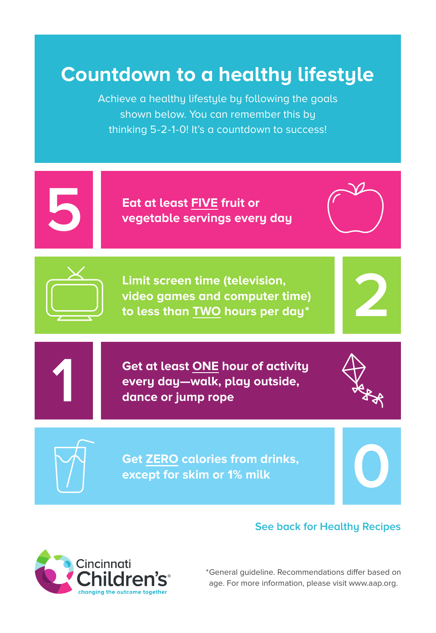# **Countdown to a healthy lifestyle**

Achieve a healthy lifestyle by following the goals shown below. You can remember this by thinking 5-2-1-0! It's a countdown to success!



**Eat at least FIVE fruit or vegetable servings every day**



**Limit screen time (television, video games and computer time) to less than TWO hours per day \***

**Get at least ONE hour of activity every day—walk, play outside, dance or jump rope**



**0**

**2**



**1**

**Get ZERO calories from drinks, except for skim or 1% milk**

## **See back for Healthy Recipes**



\* General guideline. Recommendations differ based on age. For more information, please visit www.aap.org.